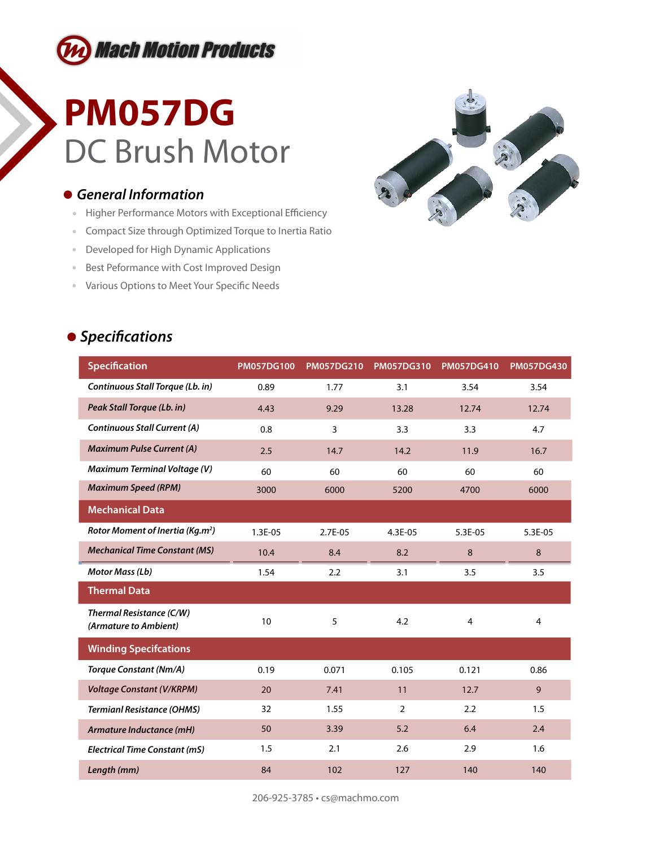

## **PM057DG** DC Brush Motor

### *General Information*

- Higher Performance Motors with Exceptional Efficiency
- Compact Size through Optimized Torque to Inertia Ratio
- Developed for High Dynamic Applications
- **Best Peformance with Cost Improved Design**
- Various Options to Meet Your Specific Needs



### **•** Specifications

| <b>Specification</b>                              | <b>PM057DG100</b> | <b>PM057DG210</b> | PM057DG310     | <b>PM057DG410</b> | <b>PM057DG430</b> |
|---------------------------------------------------|-------------------|-------------------|----------------|-------------------|-------------------|
| Continuous Stall Torque (Lb. in)                  | 0.89              | 1.77              | 3.1            | 3.54              | 3.54              |
| Peak Stall Torque (Lb. in)                        | 4.43              | 9.29              | 13.28          | 12.74             | 12.74             |
| <b>Continuous Stall Current (A)</b>               | 0.8               | $\overline{3}$    | 3.3            | 3.3               | 4.7               |
| <b>Maximum Pulse Current (A)</b>                  | 2.5               | 14.7              | 14.2           | 11.9              | 16.7              |
| <b>Maximum Terminal Voltage (V)</b>               | 60                | 60                | 60             | 60                | 60                |
| <b>Maximum Speed (RPM)</b>                        | 3000              | 6000              | 5200           | 4700              | 6000              |
| <b>Mechanical Data</b>                            |                   |                   |                |                   |                   |
| Rotor Moment of Inertia (Kg.m <sup>2</sup> )      | 1.3E-05           | 2.7E-05           | 4.3E-05        | 5.3E-05           | 5.3E-05           |
| <b>Mechanical Time Constant (MS)</b>              | 10.4              | 8.4               | 8.2            | 8                 | 8                 |
| Motor Mass (Lb)                                   | 1.54              | 2.2               | 3.1            | 3.5               | 3.5               |
| <b>Thermal Data</b>                               |                   |                   |                |                   |                   |
| Thermal Resistance (C/W)<br>(Armature to Ambient) | 10                | 5                 | 4.2            | $\overline{4}$    | $\overline{4}$    |
| <b>Winding Specifcations</b>                      |                   |                   |                |                   |                   |
| <b>Torque Constant (Nm/A)</b>                     | 0.19              | 0.071             | 0.105          | 0.121             | 0.86              |
| <b>Voltage Constant (V/KRPM)</b>                  | 20                | 7.41              | 11             | 12.7              | 9                 |
| <b>Termianl Resistance (OHMS)</b>                 | 32                | 1.55              | $\overline{2}$ | 2.2               | 1.5               |
| Armature Inductance (mH)                          | 50                | 3.39              | 5.2            | 6.4               | 2.4               |
| <b>Electrical Time Constant (mS)</b>              | 1.5               | 2.1               | 2.6            | 2.9               | 1.6               |
| Length (mm)                                       | 84                | 102               | 127            | 140               | 140               |

206-925-3785 • cs@machmo.com